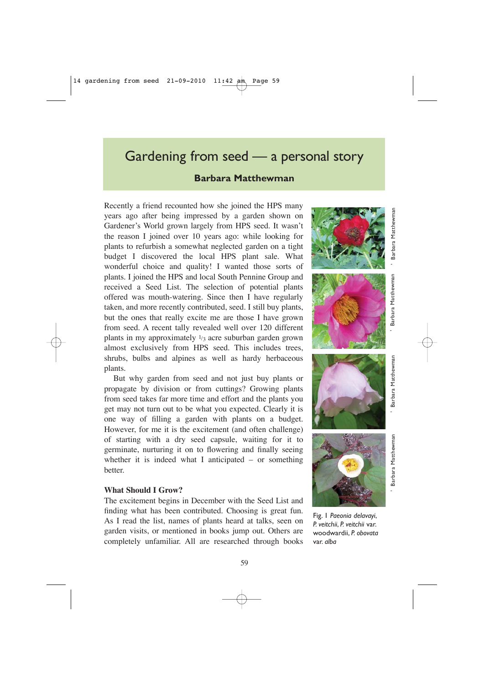# Gardening from seed — a personal story

# **Barbara Matthewman**

Recently a friend recounted how she joined the HPS many years ago after being impressed by a garden shown on Gardener's World grown largely from HPS seed. It wasn't the reason I joined over 10 years ago: while looking for plants to refurbish a somewhat neglected garden on a tight budget I discovered the local HPS plant sale. What wonderful choice and quality! I wanted those sorts of plants. I joined the HPS and local South Pennine Group and received a Seed List. The selection of potential plants offered was mouth-watering. Since then I have regularly taken, and more recently contributed, seed. I still buy plants, but the ones that really excite me are those I have grown from seed. A recent tally revealed well over 120 different plants in my approximately  $\frac{1}{3}$  acre suburban garden grown almost exclusively from HPS seed. This includes trees, shrubs, bulbs and alpines as well as hardy herbaceous plants.

But why garden from seed and not just buy plants or propagate by division or from cuttings? Growing plants from seed takes far more time and effort and the plants you get may not turn out to be what you expected. Clearly it is one way of filling a garden with plants on a budget. However, for me it is the excitement (and often challenge) of starting with a dry seed capsule, waiting for it to germinate, nurturing it on to flowering and finally seeing whether it is indeed what I anticipated – or something better.

#### **What Should I Grow?**

The excitement begins in December with the Seed List and finding what has been contributed. Choosing is great fun. As I read the list, names of plants heard at talks, seen on garden visits, or mentioned in books jump out. Others are completely unfamiliar. All are researched through books











Fig. 1 *Paeonia delavayi*, *P. veitchii*, *P. veitchii* var. woodwardii, *P. obovata* var. *alba*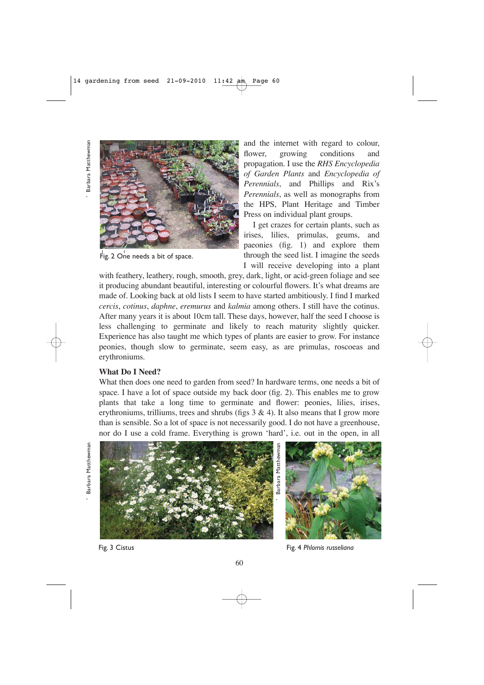Barbara Matthewmar



Fig. 2 One needs a bit of space.

and the internet with regard to colour, flower, growing conditions and propagation. I use the *RHS Encyclopedia of Garden Plants* and *Encyclopedia of Perennials*, and Phillips and Rix's *Perennials*, as well as monographs from the HPS, Plant Heritage and Timber Press on individual plant groups.

I get crazes for certain plants, such as irises, lilies, primulas, geums, and paeonies (fig. 1) and explore them through the seed list. I imagine the seeds I will receive developing into a plant

with feathery, leathery, rough, smooth, grey, dark, light, or acid-green foliage and see it producing abundant beautiful, interesting or colourful flowers. It's what dreams are made of. Looking back at old lists I seem to have started ambitiously. I find I marked *cercis*, *cotinus*, *daphne*, *eremurus* and *kalmia* among others. I still have the cotinus. After many years it is about 10cm tall. These days, however, half the seed I choose is less challenging to germinate and likely to reach maturity slightly quicker. Experience has also taught me which types of plants are easier to grow. For instance peonies, though slow to germinate, seem easy, as are primulas, roscoeas and erythroniums.

### **What Do I Need?**

What then does one need to garden from seed? In hardware terms, one needs a bit of space. I have a lot of space outside my back door (fig. 2). This enables me to grow plants that take a long time to germinate and flower: peonies, lilies, irises, erythroniums, trilliums, trees and shrubs (figs  $3 \& 4$ ). It also means that I grow more than is sensible. So a lot of space is not necessarily good. I do not have a greenhouse, nor do I use a cold frame. Everything is grown 'hard', i.e. out in the open, in all

' Barbara Matthewman ' Barbara Matthewman ' Barbara Matthewman ' Barbara Matthewman ' Barbara Matthewman Barbara Matthewman



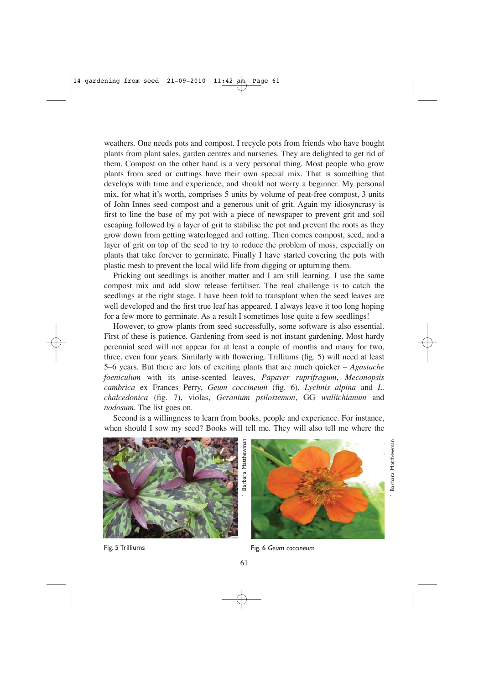weathers. One needs pots and compost. I recycle pots from friends who have bought plants from plant sales, garden centres and nurseries. They are delighted to get rid of them. Compost on the other hand is a very personal thing. Most people who grow plants from seed or cuttings have their own special mix. That is something that develops with time and experience, and should not worry a beginner. My personal mix, for what it's worth, comprises 5 units by volume of peat-free compost, 3 units of John Innes seed compost and a generous unit of grit. Again my idiosyncrasy is first to line the base of my pot with a piece of newspaper to prevent grit and soil escaping followed by a layer of grit to stabilise the pot and prevent the roots as they grow down from getting waterlogged and rotting. Then comes compost, seed, and a layer of grit on top of the seed to try to reduce the problem of moss, especially on plants that take forever to germinate. Finally I have started covering the pots with plastic mesh to prevent the local wild life from digging or upturning them.

Pricking out seedlings is another matter and I am still learning. I use the same compost mix and add slow release fertiliser. The real challenge is to catch the seedlings at the right stage. I have been told to transplant when the seed leaves are well developed and the first true leaf has appeared. I always leave it too long hoping for a few more to germinate. As a result I sometimes lose quite a few seedlings!

However, to grow plants from seed successfully, some software is also essential. First of these is patience. Gardening from seed is not instant gardening. Most hardy perennial seed will not appear for at least a couple of months and many for two, three, even four years. Similarly with flowering. Trilliums (fig. 5) will need at least 5–6 years. But there are lots of exciting plants that are much quicker – *Agastache foeniculum* with its anise-scented leaves, *Papaver ruprifragum*, *Meconopsis cambrica* ex Frances Perry, *Geum coccineum* (fig. 6), *Lychnis alpina* and *L. chalcedonica* (fig. 7), violas, *Geranium psilostemon*, GG *wallichianum* and *nodosum*. The list goes on.

Second is a willingness to learn from books, people and experience. For instance, when should I sow my seed? Books will tell me. They will also tell me where the





' Barbara Matthewman

Barbara Matthewmar

Fig. 5 Trilliums Fig. 6 *Geum coccineum*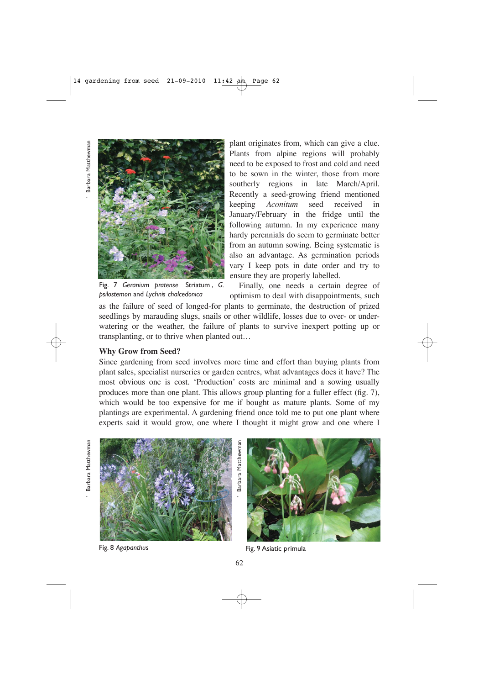' Barbara Matthewman Barbara Matthewmar



plant originates from, which can give a clue. Plants from alpine regions will probably need to be exposed to frost and cold and need to be sown in the winter, those from more southerly regions in late March/April. Recently a seed-growing friend mentioned keeping *Aconitum* seed received in January/February in the fridge until the following autumn. In my experience many hardy perennials do seem to germinate better from an autumn sowing. Being systematic is also an advantage. As germination periods vary I keep pots in date order and try to ensure they are properly labelled.

Fig. 7 *Geranium pratense* Striatum , *G. psilostemon* and *Lychnis chalcedonica*

Finally, one needs a certain degree of optimism to deal with disappointments, such

as the failure of seed of longed-for plants to germinate, the destruction of prized seedlings by marauding slugs, snails or other wildlife, losses due to over- or underwatering or the weather, the failure of plants to survive inexpert potting up or transplanting, or to thrive when planted out…

## **Why Grow from Seed?**

Since gardening from seed involves more time and effort than buying plants from plant sales, specialist nurseries or garden centres, what advantages does it have? The most obvious one is cost. 'Production' costs are minimal and a sowing usually produces more than one plant. This allows group planting for a fuller effect (fig. 7), which would be too expensive for me if bought as mature plants. Some of my plantings are experimental. A gardening friend once told me to put one plant where experts said it would grow, one where I thought it might grow and one where I

Barbara Matthewman ' Barbara Matthewman





Fig. 8 *Agapanthus* Fig. 9 Asiatic primula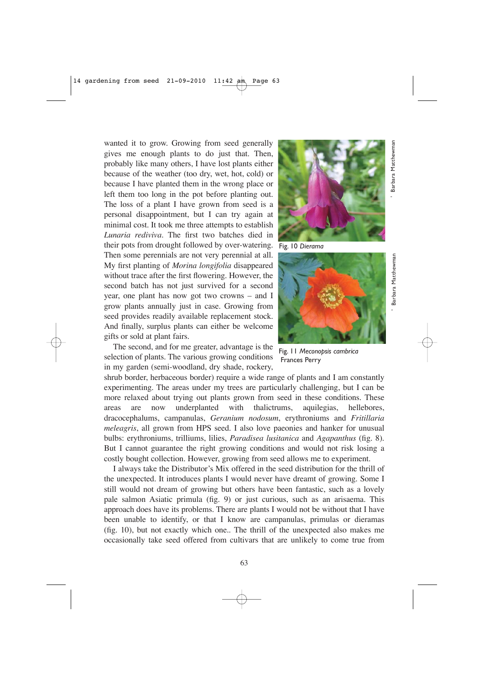wanted it to grow. Growing from seed generally gives me enough plants to do just that. Then, probably like many others, I have lost plants either because of the weather (too dry, wet, hot, cold) or because I have planted them in the wrong place or left them too long in the pot before planting out. The loss of a plant I have grown from seed is a personal disappointment, but I can try again at minimal cost. It took me three attempts to establish *Lunaria rediviva*. The first two batches died in their pots from drought followed by over-watering. Then some perennials are not very perennial at all. My first planting of *Morina longifolia* disappeared without trace after the first flowering. However, the second batch has not just survived for a second year, one plant has now got two crowns – and I grow plants annually just in case. Growing from seed provides readily available replacement stock. And finally, surplus plants can either be welcome gifts or sold at plant fairs.

The second, and for me greater, advantage is the selection of plants. The various growing conditions in my garden (semi-woodland, dry shade, rockery,

shrub border, herbaceous border) require a wide range of plants and I am constantly experimenting. The areas under my trees are particularly challenging, but I can be more relaxed about trying out plants grown from seed in these conditions. These areas are now underplanted with thalictrums, aquilegias, hellebores, dracocephalums, campanulas, *Geranium nodosum*, erythroniums and *Fritillaria meleagris*, all grown from HPS seed. I also love paeonies and hanker for unusual bulbs: erythroniums, trilliums, lilies, *Paradisea lusitanica* and *Agapanthus* (fig. 8). But I cannot guarantee the right growing conditions and would not risk losing a costly bought collection. However, growing from seed allows me to experiment.

I always take the Distributor's Mix offered in the seed distribution for the thrill of the unexpected. It introduces plants I would never have dreamt of growing. Some I still would not dream of growing but others have been fantastic, such as a lovely pale salmon Asiatic primula (fig. 9) or just curious, such as an arisaema. This approach does have its problems. There are plants I would not be without that I have been unable to identify, or that I know are campanulas, primulas or dieramas (fig. 10), but not exactly which one.. The thrill of the unexpected also makes me occasionally take seed offered from cultivars that are unlikely to come true from



Fig. 10 *Dierama*



Fig. 11 *Meconopsis cambrica* Frances Perry

' Barbara Matthewman

Barbara Matthewmar

' Barbara Matthewman

Barbara Matthewmar